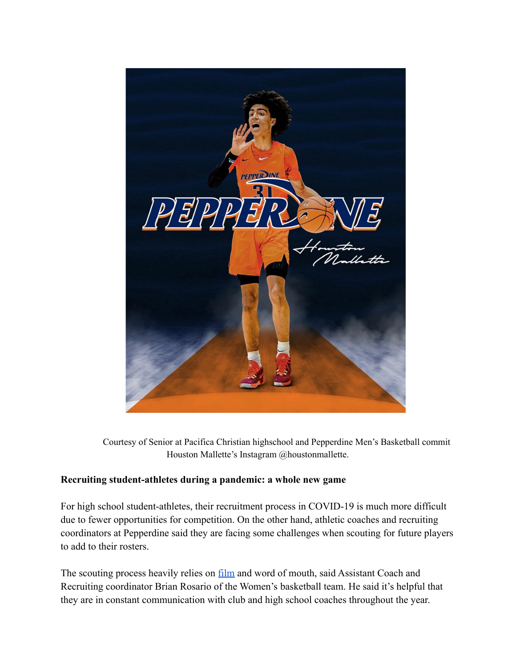

Courtesy of Senior at Pacifica Christian highschool and Pepperdine Men's Basketball commit Houston Mallette's Instagram @houstonmallette.

## **Recruiting student-athletes during a pandemic: a whole new game**

For high school student-athletes, their recruitment process in COVID-19 is much more difficult due to fewer opportunities for competition. On the other hand, athletic coaches and recruiting coordinators at Pepperdine said they are facing some challenges when scouting for future players to add to their rosters.

The scouting process heavily relies on [film](https://www.hudl.com/) and word of mouth, said Assistant Coach and Recruiting coordinator Brian Rosario of the Women's basketball team. He said it's helpful that they are in constant communication with club and high school coaches throughout the year.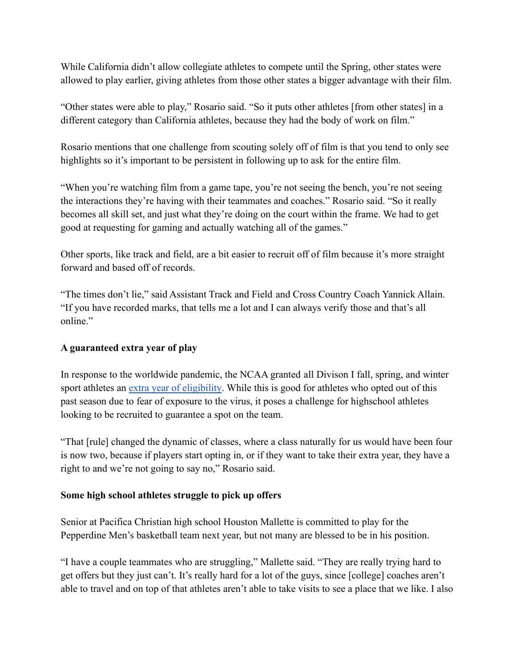While California didn't allow collegiate athletes to compete until the Spring, other states were allowed to play earlier, giving athletes from those other states a bigger advantage with their film.

"Other states were able to play," Rosario said. "So it puts other athletes [from other states] in a different category than California athletes, because they had the body of work on film."

Rosario mentions that one challenge from scouting solely off of film is that you tend to only see highlights so it's important to be persistent in following up to ask for the entire film.

"When you're watching film from a game tape, you're not seeing the bench, you're not seeing the interactions they're having with their teammates and coaches." Rosario said. "So it really becomes all skill set, and just what they're doing on the court within the frame. We had to get good at requesting for gaming and actually watching all of the games."

Other sports, like track and field, are a bit easier to recruit off of film because it's more straight forward and based off of records.

"The times don't lie," said Assistant Track and Field and Cross Country Coach Yannick Allain. "If you have recorded marks, that tells me a lot and I can always verify those and that's all online."

# **A guaranteed extra year of play**

In response to the worldwide pandemic, the NCAA granted all Divison I fall, spring, and winter sport athletes an [extra year of eligibility](https://www.espn.com/college-sports/story/_/id/30116895/ncaa-grants-extra-year-eligibility-all-winter-sport-athletes). While this is good for athletes who opted out of this past season due to fear of exposure to the virus, it poses a challenge for highschool athletes looking to be recruited to guarantee a spot on the team.

"That [rule] changed the dynamic of classes, where a class naturally for us would have been four is now two, because if players start opting in, or if they want to take their extra year, they have a right to and we're not going to say no," Rosario said.

# **Some high school athletes struggle to pick up offers**

Senior at Pacifica Christian high school Houston Mallette is committed to play for the Pepperdine Men's basketball team next year, but not many are blessed to be in his position.

"I have a couple teammates who are struggling," Mallette said. "They are really trying hard to get offers but they just can't. It's really hard for a lot of the guys, since [college] coaches aren't able to travel and on top of that athletes aren't able to take visits to see a place that we like. I also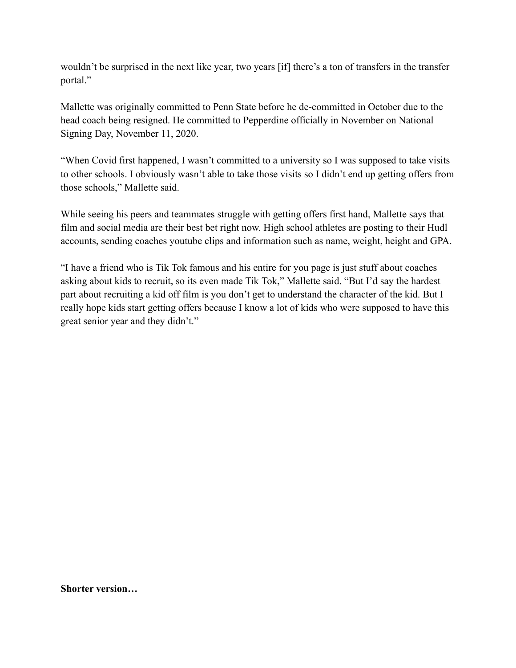wouldn't be surprised in the next like year, two years [if] there's a ton of transfers in the transfer portal."

Mallette was originally committed to Penn State before he de-committed in October due to the head coach being resigned. He committed to Pepperdine officially in November on National Signing Day, November 11, 2020.

"When Covid first happened, I wasn't committed to a university so I was supposed to take visits to other schools. I obviously wasn't able to take those visits so I didn't end up getting offers from those schools," Mallette said.

While seeing his peers and teammates struggle with getting offers first hand, Mallette says that film and social media are their best bet right now. High school athletes are posting to their Hudl accounts, sending coaches youtube clips and information such as name, weight, height and GPA.

"I have a friend who is Tik Tok famous and his entire for you page is just stuff about coaches asking about kids to recruit, so its even made Tik Tok," Mallette said. "But I'd say the hardest part about recruiting a kid off film is you don't get to understand the character of the kid. But I really hope kids start getting offers because I know a lot of kids who were supposed to have this great senior year and they didn't."

**Shorter version…**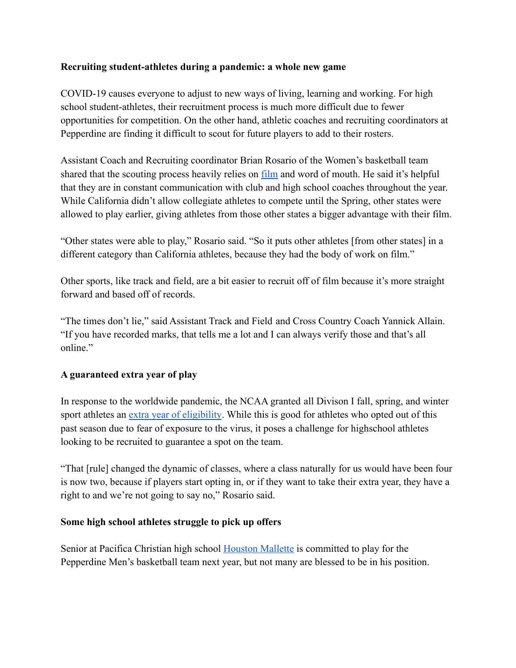### **Recruiting student-athletes during a pandemic: a whole new game**

COVID-19 causes everyone to adjust to new ways of living, learning and working. For high school student-athletes, their recruitment process is much more difficult due to fewer opportunities for competition. On the other hand, athletic coaches and recruiting coordinators at Pepperdine are finding it difficult to scout for future players to add to their rosters.

Assistant Coach and Recruiting coordinator Brian Rosario of the Women's basketball team shared that the scouting process heavily relies on [film](https://www.hudl.com/) and word of mouth. He said it's helpful that they are in constant communication with club and high school coaches throughout the year. While California didn't allow collegiate athletes to compete until the Spring, other states were allowed to play earlier, giving athletes from those other states a bigger advantage with their film.

"Other states were able to play," Rosario said. "So it puts other athletes [from other states] in a different category than California athletes, because they had the body of work on film."

Other sports, like track and field, are a bit easier to recruit off of film because it's more straight forward and based off of records.

"The times don't lie," said Assistant Track and Field and Cross Country Coach Yannick Allain. "If you have recorded marks, that tells me a lot and I can always verify those and that's all online."

# **A guaranteed extra year of play**

In response to the worldwide pandemic, the NCAA granted all Divison I fall, spring, and winter sport athletes an [extra year of eligibility](https://www.espn.com/college-sports/story/_/id/30116895/ncaa-grants-extra-year-eligibility-all-winter-sport-athletes). While this is good for athletes who opted out of this past season due to fear of exposure to the virus, it poses a challenge for highschool athletes looking to be recruited to guarantee a spot on the team.

"That [rule] changed the dynamic of classes, where a class naturally for us would have been four is now two, because if players start opting in, or if they want to take their extra year, they have a right to and we're not going to say no," Rosario said.

### **Some high school athletes struggle to pick up offers**

Senior at Pacifica Christian high school [Houston Mallette](https://247sports.com/player/houston-mallette-46083683/) is committed to play for the Pepperdine Men's basketball team next year, but not many are blessed to be in his position.